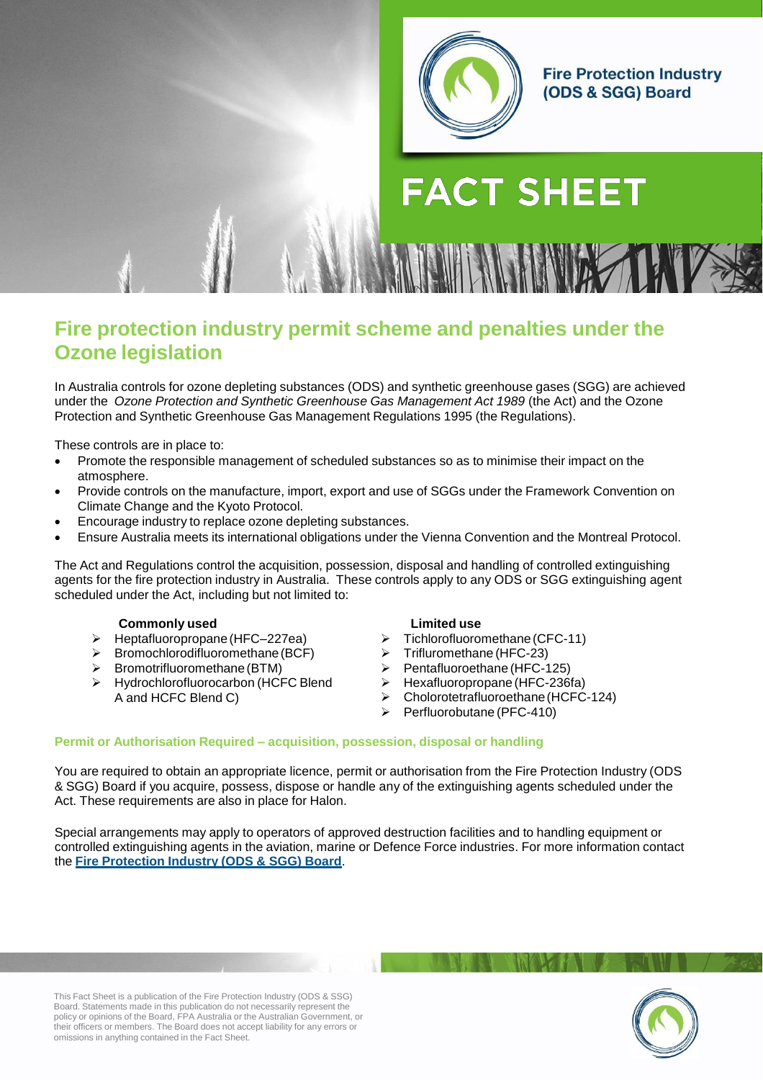

# **FACT SHEET**

## **Fire protection industry permit scheme and penalties under the Ozone legislation**

In Australia controls for ozone depleting substances (ODS) and synthetic greenhouse gases (SGG) are achieved under the *Ozone Protection and Synthetic Greenhouse Gas Management Act 1989* (the Act) and the Ozone Protection and Synthetic Greenhouse Gas Management Regulations 1995 (the Regulations).

These controls are in place to:

- Promote the responsible management of scheduled substances so as to minimise their impact on the atmosphere.
- Provide controls on the manufacture, import, export and use of SGGs under the Framework Convention on Climate Change and the Kyoto Protocol.
- Encourage industry to replace ozone depleting substances.
- Ensure Australia meets its international obligations under the Vienna Convention and the Montreal Protocol.

The Act and Regulations control the acquisition, possession, disposal and handling of controlled extinguishing agents for the fire protection industry in Australia. These controls apply to any ODS or SGG extinguishing agent scheduled under the Act, including but not limited to:

#### **Commonly used**

- Heptafluoropropane(HFC–227ea)
- $\triangleright$  Bromochlorodifluoromethane (BCF)
- $\triangleright$  Bromotrifluoromethane (BTM)
- Hydrochlorofluorocarbon (HCFC Blend A and HCFC Blend C)

#### **Limited use**

- $\triangleright$  Tichlorofluoromethane (CFC-11)
- $\triangleright$  Trifluromethane (HFC-23)
- $\triangleright$  Pentafluoroethane (HFC-125)
- $\triangleright$  Hexafluoropropane (HFC-236fa)
- $\triangleright$  Cholorotetrafluoroethane (HCFC-124)
- $\triangleright$  Perfluorobutane (PFC-410)

#### **Permit or Authorisation Required – acquisition, possession, disposal or handling**

You are required to obtain an appropriate licence, permit or authorisation from the Fire Protection Industry (ODS & SGG) Board if you acquire, possess, dispose or handle any of the extinguishing agents scheduled under the Act. These requirements are also in place for Halon.

Special arrangements may apply to operators of approved destruction facilities and to handling equipment or controlled extinguishing agents in the aviation, marine or Defence Force industries. For more information contact the **Fire Protection Industry (ODS & SGG) Board**.

This Fact Sheet is a publication of the Fire Protection Industry (ODS & SSG) Board. Statements made in this publication do not necessarily represent the policy or opinions of the Board, FPA Australia or the Australian Government, or their officers or members. The Board does not accept liability for any errors or omissions in anything contained in the Fact Sheet.

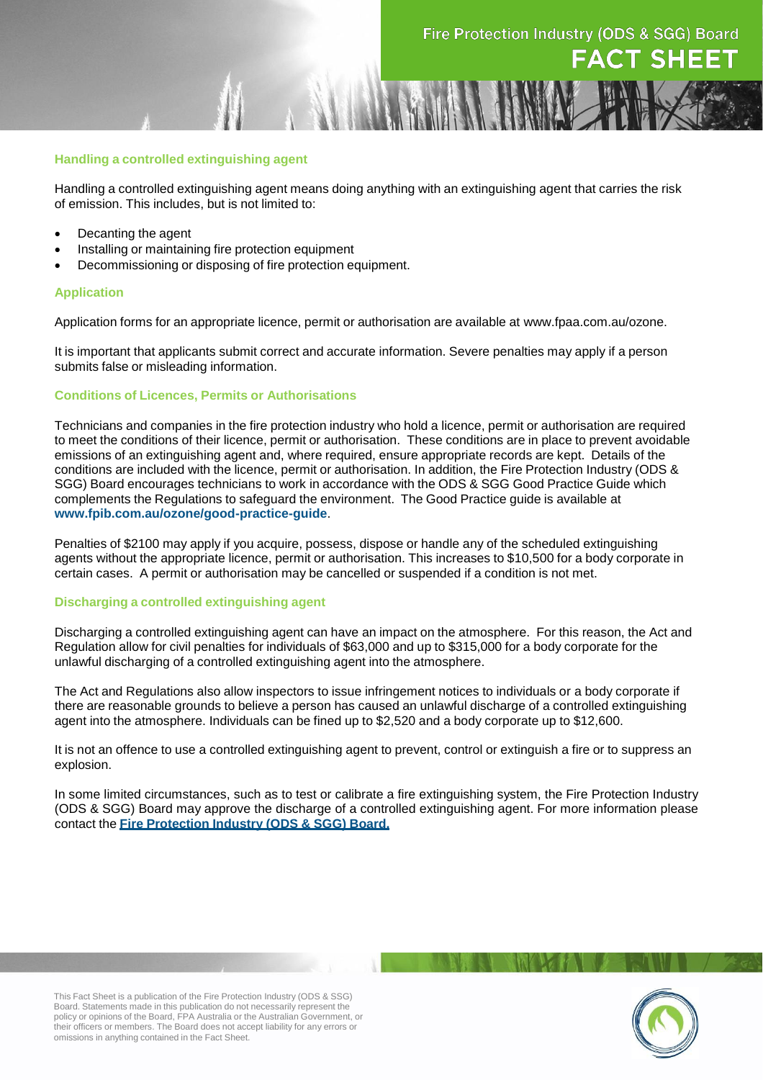#### **Handling a controlled extinguishing agent**

Handling a controlled extinguishing agent means doing anything with an extinguishing agent that carries the risk of emission. This includes, but is not limited to:

- Decanting the agent
- Installing or maintaining fire protection equipment
- Decommissioning or disposing of fire protection equipment.

#### **Application**

Application forms for an appropriate licence, permit or authorisation are available at [www.fpaa.com.au/ozone.](http://www.fpaa.com.au/ozone/application-forms.aspx)

It is important that applicants submit correct and accurate information. Severe penalties may apply if a person submits false or misleading information.

#### **Conditions of Licences, Permits or Authorisations**

Technicians and companies in the fire protection industry who hold a licence, permit or authorisation are required to meet the conditions of their licence, permit or authorisation. These conditions are in place to prevent avoidable emissions of an extinguishing agent and, where required, ensure appropriate records are kept. Details of the conditions are included with the licence, permit or authorisation. In addition, the Fire Protection Industry (ODS & SGG) Board encourages technicians to work in accordance with the ODS & SGG Good Practice Guide which complements the Regulations to safeguard the environment. The Good Practice guide is available at **[www.fpib.com.au/ozone/good-practice-guide](http://www.fpib.com.au/ozone/good-practice-guide)**.

Penalties of \$2100 may apply if you acquire, possess, dispose or handle any of the scheduled extinguishing agents without the appropriate licence, permit or authorisation. This increases to \$10,500 for a body corporate in certain cases. A permit or authorisation may be cancelled or suspended if a condition is not met.

#### **Discharging a controlled extinguishing agent**

Discharging a controlled extinguishing agent can have an impact on the atmosphere. For this reason, the Act and Regulation allow for civil penalties for individuals of \$63,000 and up to \$315,000 for a body corporate for the unlawful discharging of a controlled extinguishing agent into the atmosphere.

The Act and Regulations also allow inspectors to issue infringement notices to individuals or a body corporate if there are reasonable grounds to believe a person has caused an unlawful discharge of a controlled extinguishing agent into the atmosphere. Individuals can be fined up to \$2,520 and a body corporate up to \$12,600.

It is not an offence to use a controlled extinguishing agent to prevent, control or extinguish a fire or to suppress an explosion.

In some limited circumstances, such as to test or calibrate a fire extinguishing system, the Fire Protection Industry (ODS & SGG) Board may approve the discharge of a controlled extinguishing agent. For more information please contact the **Fire Protection Industry (ODS & SGG) Board.**

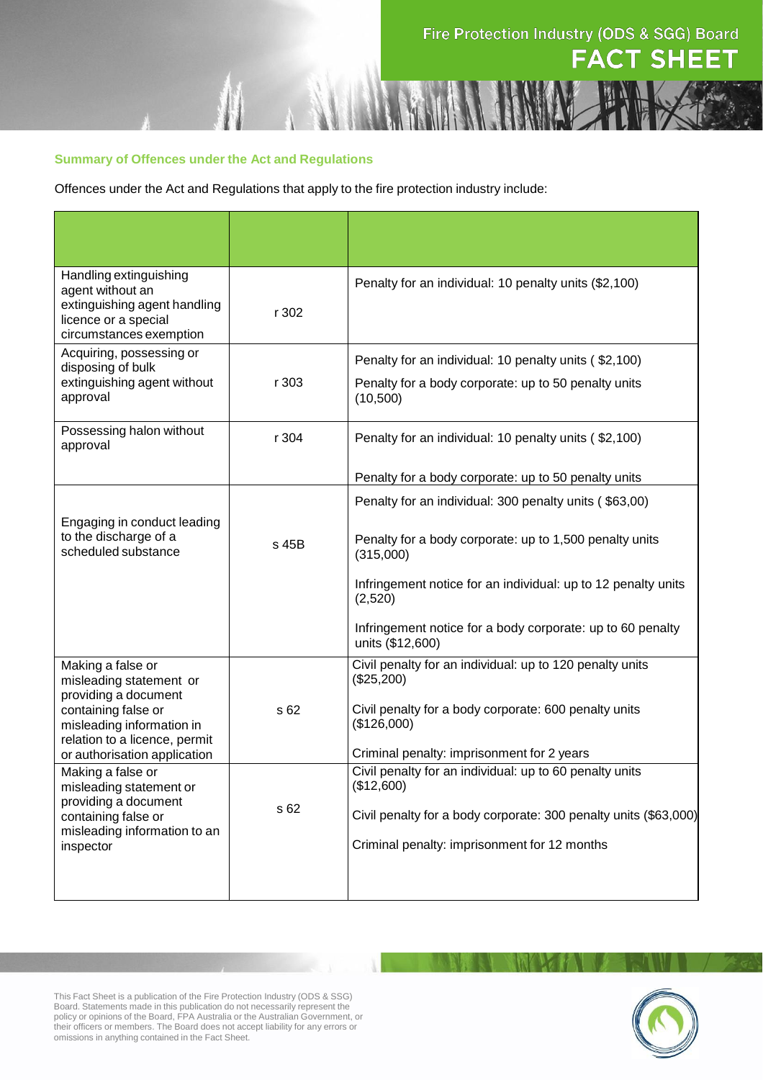## Fire Protection Industry (ODS & SGG) Board **FACT SHEET**

#### **Summary of Offences under the Act and Regulations**

Offences under the Act and Regulations that apply to the fire protection industry include:

| Handling extinguishing<br>agent without an                                                                                               |       | Penalty for an individual: 10 penalty units (\$2,100)                          |
|------------------------------------------------------------------------------------------------------------------------------------------|-------|--------------------------------------------------------------------------------|
| extinguishing agent handling                                                                                                             | r 302 |                                                                                |
| licence or a special<br>circumstances exemption                                                                                          |       |                                                                                |
| Acquiring, possessing or                                                                                                                 |       |                                                                                |
| disposing of bulk                                                                                                                        |       | Penalty for an individual: 10 penalty units (\$2,100)                          |
| extinguishing agent without<br>approval                                                                                                  | r 303 | Penalty for a body corporate: up to 50 penalty units<br>(10, 500)              |
| Possessing halon without<br>approval                                                                                                     | r 304 | Penalty for an individual: 10 penalty units (\$2,100)                          |
|                                                                                                                                          |       | Penalty for a body corporate: up to 50 penalty units                           |
|                                                                                                                                          |       | Penalty for an individual: 300 penalty units (\$63,00)                         |
| Engaging in conduct leading                                                                                                              |       |                                                                                |
| to the discharge of a<br>scheduled substance                                                                                             | s 45B | Penalty for a body corporate: up to 1,500 penalty units<br>(315,000)           |
|                                                                                                                                          |       | Infringement notice for an individual: up to 12 penalty units<br>(2,520)       |
|                                                                                                                                          |       | Infringement notice for a body corporate: up to 60 penalty<br>units (\$12,600) |
| Making a false or<br>misleading statement or                                                                                             |       | Civil penalty for an individual: up to 120 penalty units<br>(\$25,200)         |
| providing a document<br>containing false or<br>misleading information in                                                                 | s 62  | Civil penalty for a body corporate: 600 penalty units<br>(\$126,000)           |
| relation to a licence, permit<br>or authorisation application                                                                            |       | Criminal penalty: imprisonment for 2 years                                     |
| Making a false or<br>misleading statement or<br>providing a document<br>containing false or<br>misleading information to an<br>inspector |       | Civil penalty for an individual: up to 60 penalty units<br>(\$12,600)          |
|                                                                                                                                          | s 62  | Civil penalty for a body corporate: 300 penalty units (\$63,000)               |
|                                                                                                                                          |       | Criminal penalty: imprisonment for 12 months                                   |
|                                                                                                                                          |       |                                                                                |

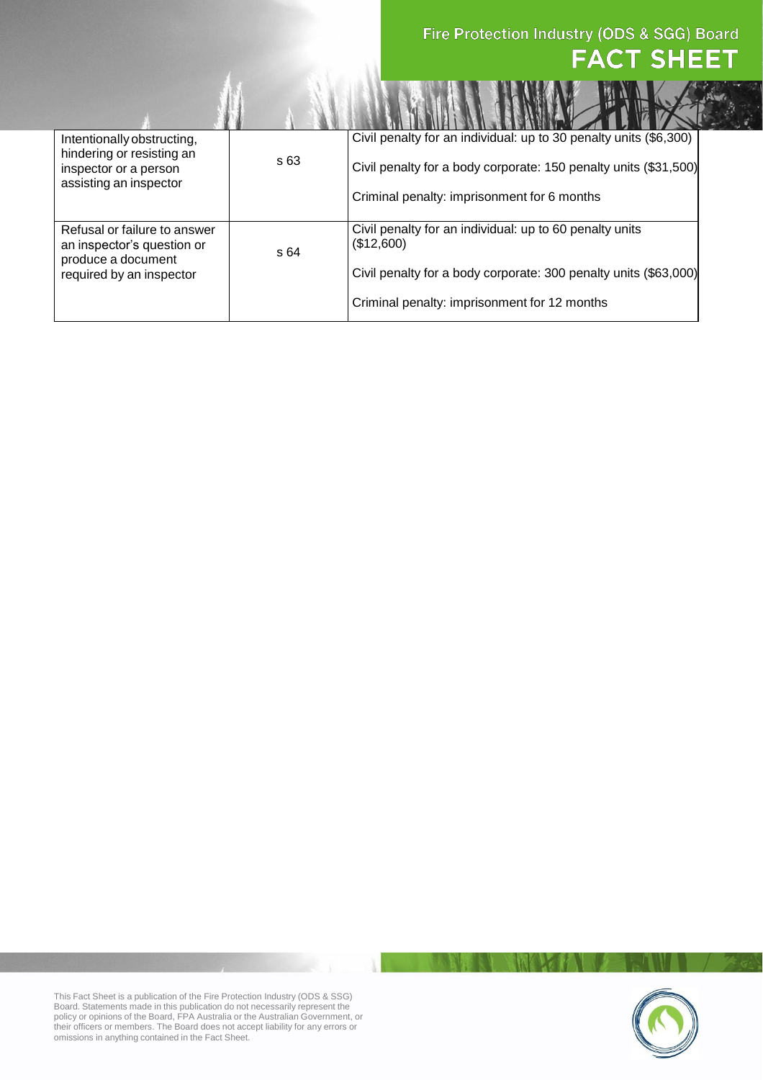## Fire Protection Industry (ODS & SGG) Board **FACT SHEET**

| Intentionally obstructing,<br>hindering or resisting an<br>inspector or a person<br>assisting an inspector   | s 63 | Civil penalty for an individual: up to 30 penalty units (\$6,300)     |
|--------------------------------------------------------------------------------------------------------------|------|-----------------------------------------------------------------------|
|                                                                                                              |      | Civil penalty for a body corporate: 150 penalty units (\$31,500)      |
|                                                                                                              |      | Criminal penalty: imprisonment for 6 months                           |
| Refusal or failure to answer<br>an inspector's question or<br>produce a document<br>required by an inspector | s 64 | Civil penalty for an individual: up to 60 penalty units<br>(\$12,600) |
|                                                                                                              |      | Civil penalty for a body corporate: 300 penalty units (\$63,000)      |
|                                                                                                              |      | Criminal penalty: imprisonment for 12 months                          |



This Fact Sheet is a publication of the Fire Protection Industry (ODS & SSG) Board. Statements made in this publication do not necessarily represent the policy or opinions of the Board, FPA Australia or the Australian Government, or their officers or members. The Board does not accept liability for any errors or omissions in anything contained in the Fact Sheet.